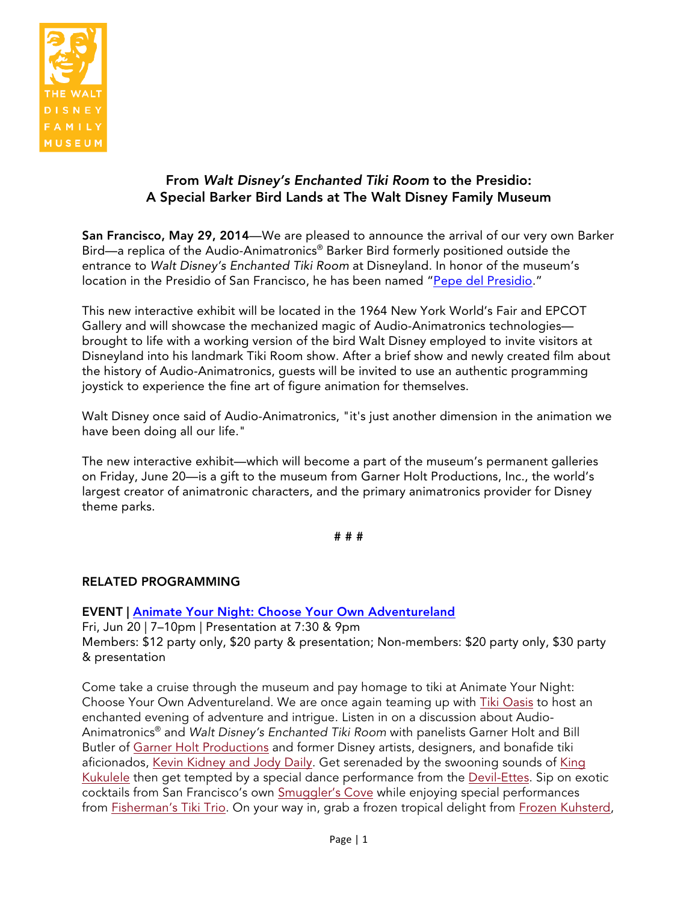

## From *Walt Disney's Enchanted Tiki Room* to the Presidio: A Special Barker Bird Lands at The Walt Disney Family Museum

San Francisco, May 29, 2014—We are pleased to announce the arrival of our very own Barker Bird—a replica of the Audio-Animatronics® Barker Bird formerly positioned outside the entrance to *Walt Disney's Enchanted Tiki Room* at Disneyland. In honor of the museum's location in the Presidio of San Francisco, he has been named "Pepe del Presidio."

This new interactive exhibit will be located in the 1964 New York World's Fair and EPCOT Gallery and will showcase the mechanized magic of Audio-Animatronics technologies brought to life with a working version of the bird Walt Disney employed to invite visitors at Disneyland into his landmark Tiki Room show. After a brief show and newly created film about the history of Audio-Animatronics, guests will be invited to use an authentic programming joystick to experience the fine art of figure animation for themselves.

Walt Disney once said of Audio-Animatronics, "it's just another dimension in the animation we have been doing all our life."

The new interactive exhibit—which will become a part of the museum's permanent galleries on Friday, June 20—is a gift to the museum from Garner Holt Productions, Inc., the world's largest creator of animatronic characters, and the primary animatronics provider for Disney theme parks.

# # #

## RELATED PROGRAMMING

EVENT | Animate Your Night: Choose Your Own Adventureland

Fri, Jun 20 | 7–10pm | Presentation at 7:30 & 9pm Members: \$12 party only, \$20 party & presentation; Non-members: \$20 party only, \$30 party & presentation

Come take a cruise through the museum and pay homage to tiki at Animate Your Night: Choose Your Own Adventureland. We are once again teaming up with Tiki Oasis to host an enchanted evening of adventure and intrigue. Listen in on a discussion about Audio-Animatronics® and *Walt Disney's Enchanted Tiki Room* with panelists Garner Holt and Bill Butler of Garner Holt Productions and former Disney artists, designers, and bonafide tiki aficionados, Kevin Kidney and Jody Daily. Get serenaded by the swooning sounds of King Kukulele then get tempted by a special dance performance from the Devil-Ettes. Sip on exotic cocktails from San Francisco's own Smuggler's Cove while enjoying special performances from Fisherman's Tiki Trio. On your way in, grab a frozen tropical delight from Frozen Kuhsterd,